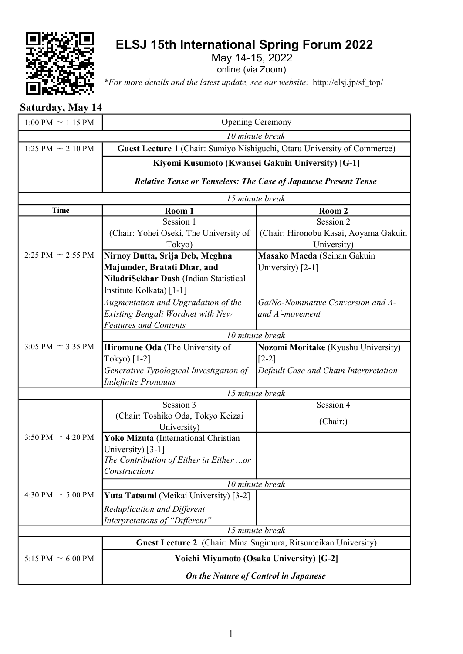

## ELSJ 15th International Spring Forum 2022

May 14-15, 2022

online (via Zoom)

\*For more details and the latest update, see our website: http://elsj.jp/sf\_top/

## Saturday, May 14

| $1:00 \text{ PM} \sim 1:15 \text{ PM}$                          |                                                                          | Opening Ceremony                                  |  |  |
|-----------------------------------------------------------------|--------------------------------------------------------------------------|---------------------------------------------------|--|--|
|                                                                 |                                                                          | 10 minute break                                   |  |  |
| 1:25 PM $\sim$ 2:10 PM                                          | Guest Lecture 1 (Chair: Sumiyo Nishiguchi, Otaru University of Commerce) |                                                   |  |  |
|                                                                 |                                                                          | Kiyomi Kusumoto (Kwansei Gakuin University) [G-1] |  |  |
|                                                                 |                                                                          |                                                   |  |  |
| Relative Tense or Tenseless: The Case of Japanese Present Tense |                                                                          |                                                   |  |  |
|                                                                 | 15 minute break                                                          |                                                   |  |  |
| <b>Time</b>                                                     | Room 1                                                                   | Room 2                                            |  |  |
|                                                                 | Session 1                                                                | Session 2                                         |  |  |
|                                                                 | (Chair: Yohei Oseki, The University of                                   | (Chair: Hironobu Kasai, Aoyama Gakuin             |  |  |
|                                                                 | Tokyo)                                                                   | University)                                       |  |  |
| 2:25 PM $\sim$ 2:55 PM                                          | Nirnoy Dutta, Srija Deb, Meghna                                          | Masako Maeda (Seinan Gakuin                       |  |  |
|                                                                 | Majumder, Bratati Dhar, and                                              | University) [2-1]                                 |  |  |
|                                                                 | NiladriSekhar Dash (Indian Statistical                                   |                                                   |  |  |
|                                                                 | Institute Kolkata) [1-1]                                                 |                                                   |  |  |
|                                                                 | Augmentation and Upgradation of the                                      | Ga/No-Nominative Conversion and A-                |  |  |
|                                                                 | Existing Bengali Wordnet with New                                        | and A'-movement                                   |  |  |
|                                                                 | <b>Features and Contents</b>                                             |                                                   |  |  |
|                                                                 | 10 minute break                                                          |                                                   |  |  |
| 3:05 PM $\sim$ 3:35 PM                                          | Hiromune Oda (The University of                                          | Nozomi Moritake (Kyushu University)               |  |  |
|                                                                 | Tokyo) [1-2]                                                             | $[2-2]$                                           |  |  |
|                                                                 | Generative Typological Investigation of                                  | Default Case and Chain Interpretation             |  |  |
|                                                                 | <b>Indefinite Pronouns</b>                                               |                                                   |  |  |
| 15 minute break                                                 |                                                                          |                                                   |  |  |
|                                                                 | Session 3                                                                | Session 4                                         |  |  |
|                                                                 | (Chair: Toshiko Oda, Tokyo Keizai                                        | (Chair:)                                          |  |  |
|                                                                 | University)                                                              |                                                   |  |  |
| 3:50 PM $\sim$ 4:20 PM                                          | Yoko Mizuta (International Christian                                     |                                                   |  |  |
|                                                                 | University) [3-1]                                                        |                                                   |  |  |
|                                                                 | The Contribution of Either in Either or                                  |                                                   |  |  |
|                                                                 | Constructions                                                            |                                                   |  |  |
|                                                                 |                                                                          | 10 minute break                                   |  |  |
| 4:30 PM $\sim$ 5:00 PM                                          | Yuta Tatsumi (Meikai University) [3-2]                                   |                                                   |  |  |
|                                                                 | Reduplication and Different                                              |                                                   |  |  |
|                                                                 | Interpretations of "Different"                                           |                                                   |  |  |
| 15 minute break                                                 |                                                                          |                                                   |  |  |
|                                                                 | Guest Lecture 2 (Chair: Mina Sugimura, Ritsumeikan University)           |                                                   |  |  |
| 5:15 PM $\sim$ 6:00 PM                                          | Yoichi Miyamoto (Osaka University) [G-2]                                 |                                                   |  |  |
|                                                                 |                                                                          | On the Nature of Control in Japanese              |  |  |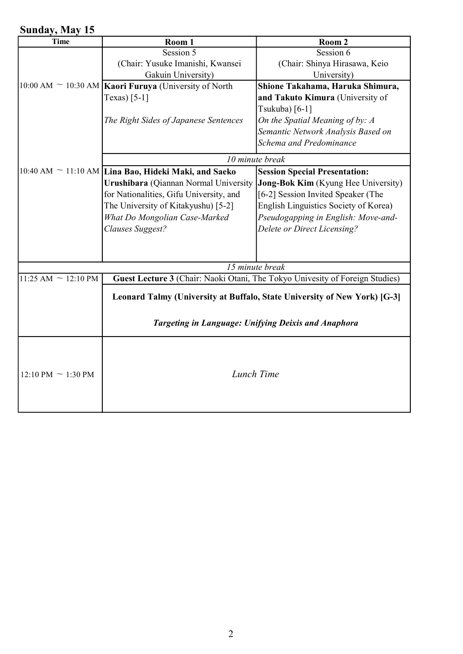## Sunday, May 15

| Room 1                                                                       | Room 2                                |
|------------------------------------------------------------------------------|---------------------------------------|
| Session 5                                                                    | Session 6                             |
| (Chair: Yusuke Imanishi, Kwansei                                             | (Chair: Shinya Hirasawa, Keio         |
| Gakuin University)                                                           | University)                           |
| Kaori Furuya (University of North                                            | Shione Takahama, Haruka Shimura,      |
| Texas) $[5-1]$                                                               | and Takuto Kimura (University of      |
|                                                                              | Tsukuba) [6-1]                        |
| The Right Sides of Japanese Sentences                                        | On the Spatial Meaning of by: A       |
|                                                                              | Semantic Network Analysis Based on    |
|                                                                              | Schema and Predominance               |
| 10 minute break                                                              |                                       |
| $10:40$ AM $\sim$ 11:10 AM Lina Bao, Hideki Maki, and Saeko                  | <b>Session Special Presentation:</b>  |
| Urushibara (Qiannan Normal University                                        | Jong-Bok Kim (Kyung Hee University)   |
| for Nationalities, Gifu University, and                                      | [6-2] Session Invited Speaker (The    |
| The University of Kitakyushu) [5-2]                                          | English Linguistics Society of Korea) |
| What Do Mongolian Case-Marked                                                | Pseudogapping in English: Move-and-   |
| Clauses Suggest?                                                             | Delete or Direct Licensing?           |
|                                                                              |                                       |
|                                                                              |                                       |
|                                                                              |                                       |
| Guest Lecture 3 (Chair: Naoki Otani, The Tokyo Univesity of Foreign Studies) |                                       |
|                                                                              |                                       |
| Leonard Talmy (University at Buffalo, State University of New York) [G-3]    |                                       |
|                                                                              |                                       |
| Targeting in Language: Unifying Deixis and Anaphora                          |                                       |
|                                                                              |                                       |
|                                                                              |                                       |
|                                                                              |                                       |
|                                                                              |                                       |
|                                                                              |                                       |
|                                                                              |                                       |
|                                                                              | 15 minute break<br>Lunch Time         |